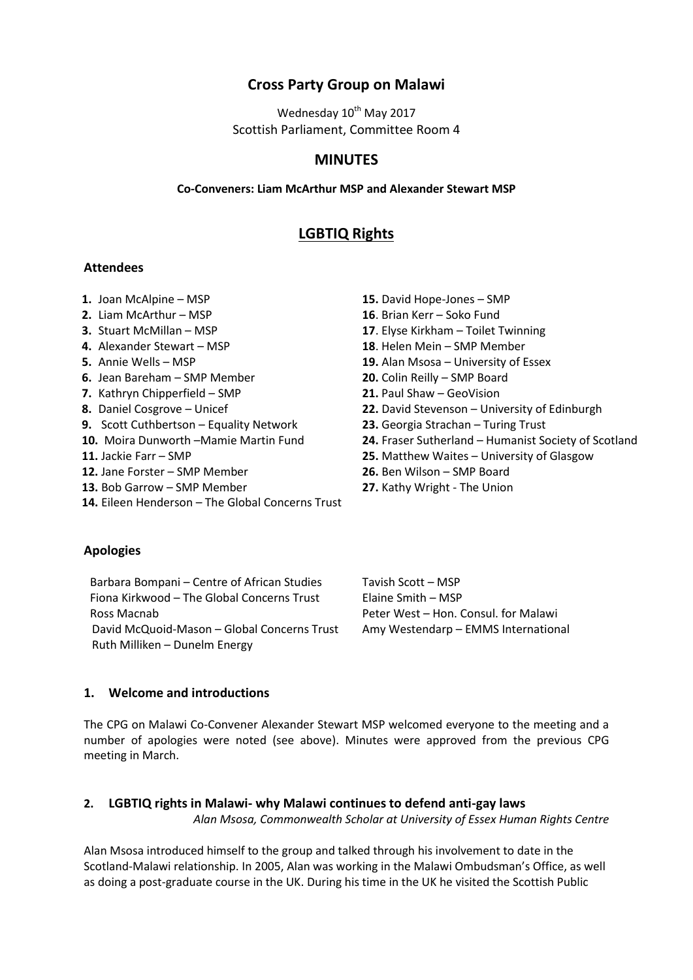# **Cross Party Group on Malawi**

Wednesday 10<sup>th</sup> May 2017 Scottish Parliament, Committee Room 4

## **MINUTES**

#### **Co-Conveners: Liam McArthur MSP and Alexander Stewart MSP**

## **LGBTIQ Rights**

#### **Attendees**

- 
- 
- 
- 
- 
- **6.** Jean Bareham SMP Member **20.** Colin Reilly SMP Board
- **7.** Kathryn Chipperfield SMP **21.** Paul Shaw GeoVision
- 
- **9.** Scott Cuthbertson Equality Network **23.** Georgia Strachan Turing Trust
- 
- 
- **12.** Jane Forster SMP Member **26.** Ben Wilson SMP Board
- **13.** Bob Garrow SMP Member **27.** Kathy Wright The Union
- **14.** Eileen Henderson The Global Concerns Trust

# **Apologies**

Barbara Bompani – Centre of African Studies Tavish Scott – MSP Fiona Kirkwood – The Global Concerns Trust Elaine Smith – MSP Ross Macnab **Peter West – Hon. Consul. for Malawi** David McQuoid-Mason – Global Concerns Trust Amy Westendarp – EMMS International Ruth Milliken – Dunelm Energy

**1.** Joan McAlpine – MSP **15.** David Hope-Jones – SMP

- **2.** Liam McArthur MSP **16**. Brian Kerr Soko Fund
- **3.** Stuart McMillan MSP **17**. Elyse Kirkham Toilet Twinning
- **4.** Alexander Stewart MSP **18**. Helen Mein SMP Member
- **5.** Annie Wells MSP **19.** Alan Msosa University of Essex
	-
	-
- **8.** Daniel Cosgrove Unicef **22.** David Stevenson University of Edinburgh
	-
- **10.** Moira Dunworth –Mamie Martin Fund **24.** Fraser Sutherland Humanist Society of Scotland
- **11.** Jackie Farr SMP **25.** Matthew Waites University of Glasgow
	-
	-

## **1. Welcome and introductions**

The CPG on Malawi Co-Convener Alexander Stewart MSP welcomed everyone to the meeting and a number of apologies were noted (see above). Minutes were approved from the previous CPG meeting in March.

## **2. LGBTIQ rights in Malawi- why Malawi continues to defend anti-gay laws**  *Alan Msosa, Commonwealth Scholar at University of Essex Human Rights Centre*

Alan Msosa introduced himself to the group and talked through his involvement to date in the Scotland-Malawi relationship. In 2005, Alan was working in the Malawi Ombudsman's Office, as well as doing a post-graduate course in the UK. During his time in the UK he visited the Scottish Public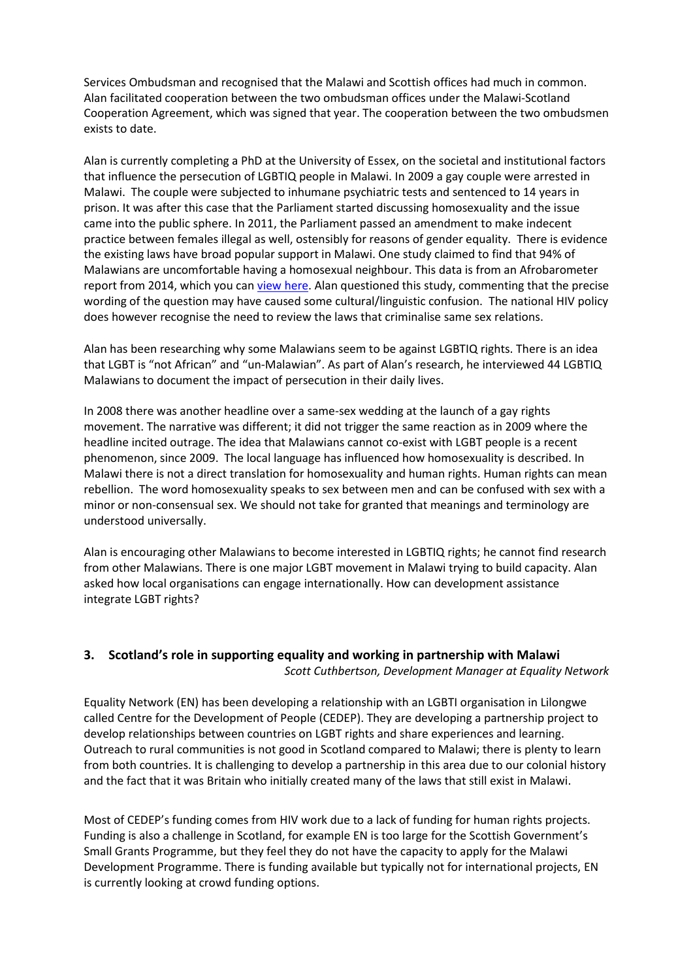Services Ombudsman and recognised that the Malawi and Scottish offices had much in common. Alan facilitated cooperation between the two ombudsman offices under the Malawi-Scotland Cooperation Agreement, which was signed that year. The cooperation between the two ombudsmen exists to date.

Alan is currently completing a PhD at the University of Essex, on the societal and institutional factors that influence the persecution of LGBTIQ people in Malawi. In 2009 a gay couple were arrested in Malawi. The couple were subjected to inhumane psychiatric tests and sentenced to 14 years in prison. It was after this case that the Parliament started discussing homosexuality and the issue came into the public sphere. In 2011, the Parliament passed an amendment to make indecent practice between females illegal as well, ostensibly for reasons of gender equality. There is evidence the existing laws have broad popular support in Malawi. One study claimed to find that 94% of Malawians are uncomfortable having a homosexual neighbour. This data is from an Afrobarometer report from 2014, which you can [view here.](http://afrobarometer.org/blogs/one-graph-shows-biggest-threat-lgbt-rights-malawi) Alan questioned this study, commenting that the precise wording of the question may have caused some cultural/linguistic confusion. The national HIV policy does however recognise the need to review the laws that criminalise same sex relations.

Alan has been researching why some Malawians seem to be against LGBTIQ rights. There is an idea that LGBT is "not African" and "un-Malawian". As part of Alan's research, he interviewed 44 LGBTIQ Malawians to document the impact of persecution in their daily lives.

In 2008 there was another headline over a same-sex wedding at the launch of a gay rights movement. The narrative was different; it did not trigger the same reaction as in 2009 where the headline incited outrage. The idea that Malawians cannot co-exist with LGBT people is a recent phenomenon, since 2009. The local language has influenced how homosexuality is described. In Malawi there is not a direct translation for homosexuality and human rights. Human rights can mean rebellion. The word homosexuality speaks to sex between men and can be confused with sex with a minor or non-consensual sex. We should not take for granted that meanings and terminology are understood universally.

Alan is encouraging other Malawians to become interested in LGBTIQ rights; he cannot find research from other Malawians. There is one major LGBT movement in Malawi trying to build capacity. Alan asked how local organisations can engage internationally. How can development assistance integrate LGBT rights?

## **3. Scotland's role in supporting equality and working in partnership with Malawi** *Scott Cuthbertson, Development Manager at Equality Network*

Equality Network (EN) has been developing a relationship with an LGBTI organisation in Lilongwe called Centre for the Development of People (CEDEP). They are developing a partnership project to develop relationships between countries on LGBT rights and share experiences and learning. Outreach to rural communities is not good in Scotland compared to Malawi; there is plenty to learn from both countries. It is challenging to develop a partnership in this area due to our colonial history and the fact that it was Britain who initially created many of the laws that still exist in Malawi.

Most of CEDEP's funding comes from HIV work due to a lack of funding for human rights projects. Funding is also a challenge in Scotland, for example EN is too large for the Scottish Government's Small Grants Programme, but they feel they do not have the capacity to apply for the Malawi Development Programme. There is funding available but typically not for international projects, EN is currently looking at crowd funding options.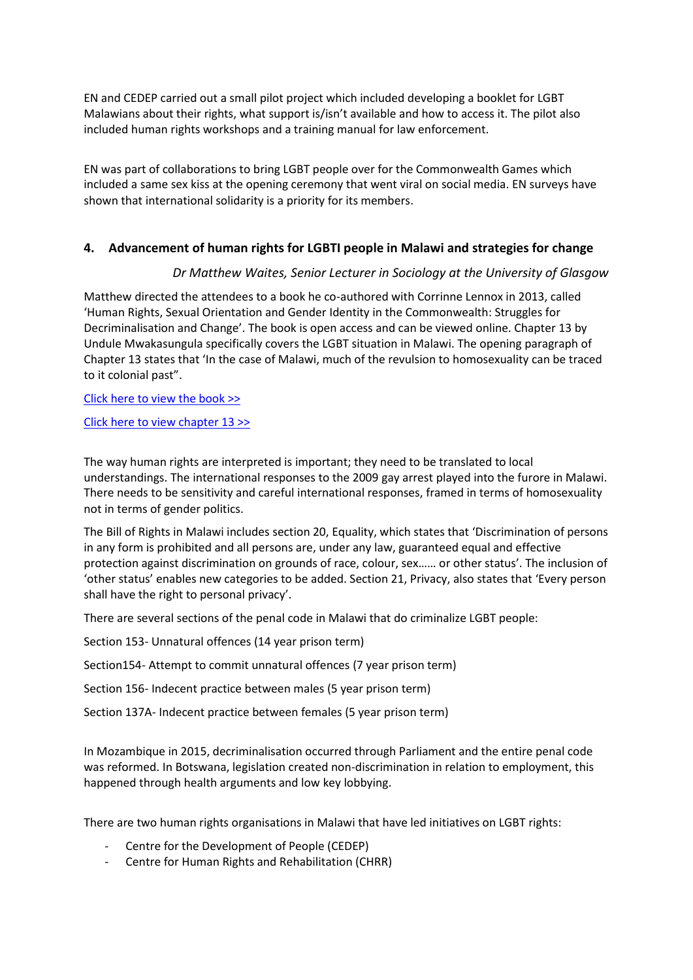EN and CEDEP carried out a small pilot project which included developing a booklet for LGBT Malawians about their rights, what support is/isn't available and how to access it. The pilot also included human rights workshops and a training manual for law enforcement.

EN was part of collaborations to bring LGBT people over for the Commonwealth Games which included a same sex kiss at the opening ceremony that went viral on social media. EN surveys have shown that international solidarity is a priority for its members.

## **4. Advancement of human rights for LGBTI people in Malawi and strategies for change**

## *Dr Matthew Waites, Senior Lecturer in Sociology at the University of Glasgow*

Matthew directed the attendees to a book he co-authored with Corrinne Lennox in 2013, called 'Human Rights, Sexual Orientation and Gender Identity in the Commonwealth: Struggles for Decriminalisation and Change'. The book is open access and can be viewed online. Chapter 13 by Undule Mwakasungula specifically covers the LGBT situation in Malawi. The opening paragraph of Chapter 13 states that 'In the case of Malawi, much of the revulsion to homosexuality can be traced to it colonial past".

#### [Click here to view the book >>](http://commonwealth.sas.ac.uk/resources/publications/house-publications/lgbt-rights-commonwealth)

#### [Click here to view chapter 13 >>](http://sas-space.sas.ac.uk/4824/9/13Mwakasungula_LGBTMalawiActivist.pdf)

The way human rights are interpreted is important; they need to be translated to local understandings. The international responses to the 2009 gay arrest played into the furore in Malawi. There needs to be sensitivity and careful international responses, framed in terms of homosexuality not in terms of gender politics.

The Bill of Rights in Malawi includes section 20, Equality, which states that 'Discrimination of persons in any form is prohibited and all persons are, under any law, guaranteed equal and effective protection against discrimination on grounds of race, colour, sex…… or other status'. The inclusion of 'other status' enables new categories to be added. Section 21, Privacy, also states that 'Every person shall have the right to personal privacy'.

There are several sections of the penal code in Malawi that do criminalize LGBT people:

Section 153- Unnatural offences (14 year prison term)

Section154- Attempt to commit unnatural offences (7 year prison term)

Section 156- Indecent practice between males (5 year prison term)

Section 137A- Indecent practice between females (5 year prison term)

In Mozambique in 2015, decriminalisation occurred through Parliament and the entire penal code was reformed. In Botswana, legislation created non-discrimination in relation to employment, this happened through health arguments and low key lobbying.

There are two human rights organisations in Malawi that have led initiatives on LGBT rights:

- Centre for the Development of People (CEDEP)
- Centre for Human Rights and Rehabilitation (CHRR)